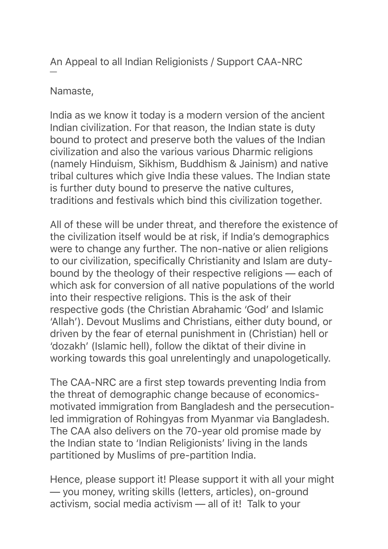An Appeal to all Indian Religionists / Support CAA-NRC

## Namaste,

—

India as we know it today is a modern version of the ancient Indian civilization. For that reason, the Indian state is duty bound to protect and preserve both the values of the Indian civilization and also the various various Dharmic religions (namely Hinduism, Sikhism, Buddhism & Jainism) and native tribal cultures which give India these values. The Indian state is further duty bound to preserve the native cultures, traditions and festivals which bind this civilization together.

All of these will be under threat, and therefore the existence of the civilization itself would be at risk, if India's demographics were to change any further. The non-native or alien religions to our civilization, specifically Christianity and Islam are dutybound by the theology of their respective religions — each of which ask for conversion of all native populations of the world into their respective religions. This is the ask of their respective gods (the Christian Abrahamic 'God' and Islamic 'Allah'). Devout Muslims and Christians, either duty bound, or driven by the fear of eternal punishment in (Christian) hell or 'dozakh' (Islamic hell), follow the diktat of their divine in working towards this goal unrelentingly and unapologetically.

The CAA-NRC are a first step towards preventing India from the threat of demographic change because of economicsmotivated immigration from Bangladesh and the persecutionled immigration of Rohingyas from Myanmar via Bangladesh. The CAA also delivers on the 70-year old promise made by the Indian state to 'Indian Religionists' living in the lands partitioned by Muslims of pre-partition India.

Hence, please support it! Please support it with all your might — you money, writing skills (letters, articles), on-ground activism, social media activism — all of it! Talk to your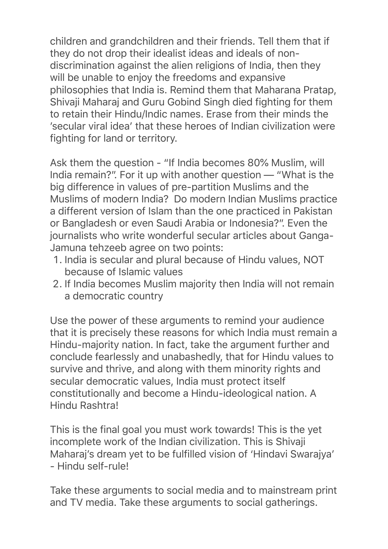children and grandchildren and their friends. Tell them that if they do not drop their idealist ideas and ideals of nondiscrimination against the alien religions of India, then they will be unable to enjoy the freedoms and expansive philosophies that India is. Remind them that Maharana Pratap, Shivaji Maharaj and Guru Gobind Singh died fighting for them to retain their Hindu/Indic names. Erase from their minds the 'secular viral idea' that these heroes of Indian civilization were fighting for land or territory.

Ask them the question - "If India becomes 80% Muslim, will India remain?". For it up with another question — "What is the big difference in values of pre-partition Muslims and the Muslims of modern India? Do modern Indian Muslims practice a different version of Islam than the one practiced in Pakistan or Bangladesh or even Saudi Arabia or Indonesia?". Even the journalists who write wonderful secular articles about Ganga-Jamuna tehzeeb agree on two points:

- 1. India is secular and plural because of Hindu values, NOT because of Islamic values
- 2. If India becomes Muslim majority then India will not remain a democratic country

Use the power of these arguments to remind your audience that it is precisely these reasons for which India must remain a Hindu-majority nation. In fact, take the argument further and conclude fearlessly and unabashedly, that for Hindu values to survive and thrive, and along with them minority rights and secular democratic values, India must protect itself constitutionally and become a Hindu-ideological nation. A Hindu Rashtra!

This is the final goal you must work towards! This is the yet incomplete work of the Indian civilization. This is Shivaji Maharaj's dream yet to be fulfilled vision of 'Hindavi Swarajya' - Hindu self-rule!

Take these arguments to social media and to mainstream print and TV media. Take these arguments to social gatherings.